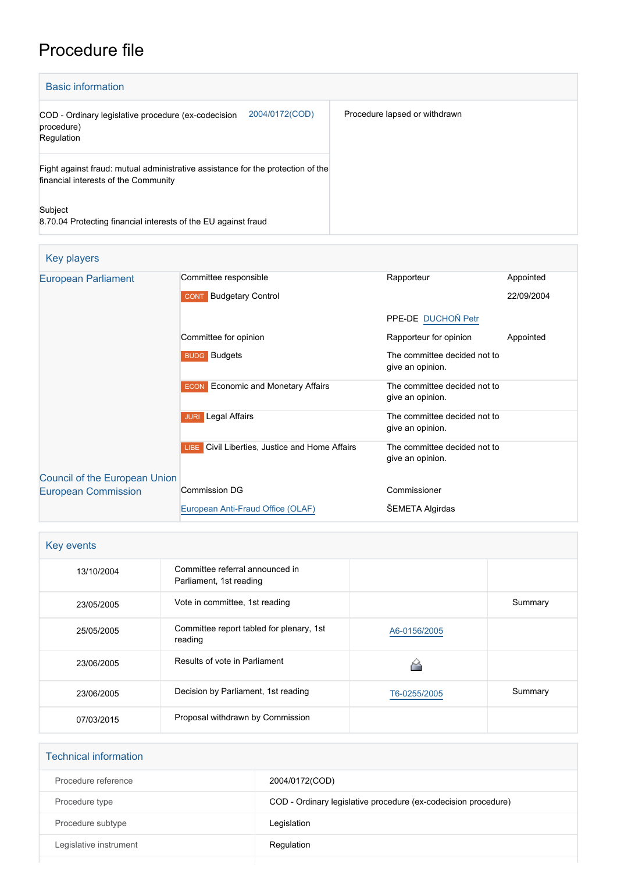# Procedure file

| <b>Basic information</b>                                                                                                |                               |
|-------------------------------------------------------------------------------------------------------------------------|-------------------------------|
| 2004/0172(COD)<br>COD - Ordinary legislative procedure (ex-codecision<br>procedure)<br>Regulation                       | Procedure lapsed or withdrawn |
| Fight against fraud: mutual administrative assistance for the protection of the<br>financial interests of the Community |                               |
| Subject<br>8.70.04 Protecting financial interests of the EU against fraud                                               |                               |

| Key players                   |                                                       |                                                  |            |
|-------------------------------|-------------------------------------------------------|--------------------------------------------------|------------|
| <b>European Parliament</b>    | Committee responsible                                 | Rapporteur                                       | Appointed  |
|                               | <b>CONT</b> Budgetary Control                         |                                                  | 22/09/2004 |
|                               |                                                       | PPE-DE DUCHOŇ Petr                               |            |
|                               | Committee for opinion                                 | Rapporteur for opinion                           | Appointed  |
|                               | <b>BUDG</b> Budgets                                   | The committee decided not to<br>give an opinion. |            |
|                               | <b>Economic and Monetary Affairs</b><br><b>ECON</b>   | The committee decided not to<br>give an opinion. |            |
|                               | <b>Legal Affairs</b><br><b>JURI</b>                   | The committee decided not to<br>give an opinion. |            |
|                               | <b>LIBE</b> Civil Liberties, Justice and Home Affairs | The committee decided not to<br>give an opinion. |            |
| Council of the European Union |                                                       |                                                  |            |
| <b>European Commission</b>    | Commission DG                                         | Commissioner                                     |            |
|                               | European Anti-Fraud Office (OLAF)                     | <b>SEMETA Algirdas</b>                           |            |

| Key events |                                                            |              |         |
|------------|------------------------------------------------------------|--------------|---------|
| 13/10/2004 | Committee referral announced in<br>Parliament, 1st reading |              |         |
| 23/05/2005 | Vote in committee, 1st reading                             |              | Summary |
| 25/05/2005 | Committee report tabled for plenary, 1st<br>reading        | A6-0156/2005 |         |
| 23/06/2005 | Results of vote in Parliament                              |              |         |
| 23/06/2005 | Decision by Parliament, 1st reading                        | T6-0255/2005 | Summary |
| 07/03/2015 | Proposal withdrawn by Commission                           |              |         |

| <b>Technical information</b> |                                                                |
|------------------------------|----------------------------------------------------------------|
| Procedure reference          | 2004/0172(COD)                                                 |
| Procedure type               | COD - Ordinary legislative procedure (ex-codecision procedure) |
| Procedure subtype            | Legislation                                                    |
| Legislative instrument       | Regulation                                                     |
|                              |                                                                |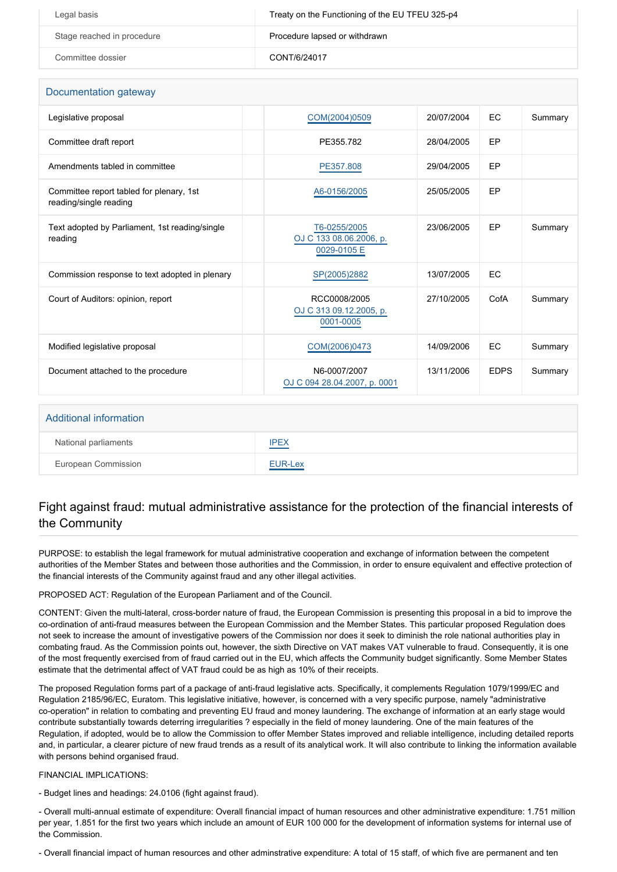| Legal basis                | Treaty on the Functioning of the EU TFEU 325-p4 |
|----------------------------|-------------------------------------------------|
| Stage reached in procedure | Procedure lapsed or withdrawn                   |
| Committee dossier          | CONT/6/24017                                    |

| Documentation gateway                                              |                                                        |            |             |         |
|--------------------------------------------------------------------|--------------------------------------------------------|------------|-------------|---------|
| Legislative proposal                                               | COM(2004)0509                                          | 20/07/2004 | EC          | Summary |
| Committee draft report                                             | PE355.782                                              | 28/04/2005 | EP          |         |
| Amendments tabled in committee                                     | PE357.808                                              | 29/04/2005 | EP          |         |
| Committee report tabled for plenary, 1st<br>reading/single reading | A6-0156/2005                                           | 25/05/2005 | EP          |         |
| Text adopted by Parliament, 1st reading/single<br>reading          | T6-0255/2005<br>OJ C 133 08.06.2006, p.<br>0029-0105 E | 23/06/2005 | EP          | Summary |
| Commission response to text adopted in plenary                     | SP(2005)2882                                           | 13/07/2005 | EC          |         |
| Court of Auditors: opinion, report                                 | RCC0008/2005<br>OJ C 313 09.12.2005, p.<br>0001-0005   | 27/10/2005 | CofA        | Summary |
| Modified legislative proposal                                      | COM(2006)0473                                          | 14/09/2006 | EC          | Summary |
| Document attached to the procedure                                 | N6-0007/2007<br>OJ C 094 28.04.2007, p. 0001           | 13/11/2006 | <b>EDPS</b> | Summary |
|                                                                    |                                                        |            |             |         |

#### Additional information

| National parliaments       | IPEX<br>the control of the con-                                        |
|----------------------------|------------------------------------------------------------------------|
| <b>European Commission</b> | EUR-Lex<br><b><i><u>Property Community Community Community</u></i></b> |

### Fight against fraud: mutual administrative assistance for the protection of the financial interests of the Community

PURPOSE: to establish the legal framework for mutual administrative cooperation and exchange of information between the competent authorities of the Member States and between those authorities and the Commission, in order to ensure equivalent and effective protection of the financial interests of the Community against fraud and any other illegal activities.

PROPOSED ACT: Regulation of the European Parliament and of the Council.

CONTENT: Given the multi-lateral, cross-border nature of fraud, the European Commission is presenting this proposal in a bid to improve the co-ordination of anti-fraud measures between the European Commission and the Member States. This particular proposed Regulation does not seek to increase the amount of investigative powers of the Commission nor does it seek to diminish the role national authorities play in combating fraud. As the Commission points out, however, the sixth Directive on VAT makes VAT vulnerable to fraud. Consequently, it is one of the most frequently exercised from of fraud carried out in the EU, which affects the Community budget significantly. Some Member States estimate that the detrimental affect of VAT fraud could be as high as 10% of their receipts.

The proposed Regulation forms part of a package of anti-fraud legislative acts. Specifically, it complements Regulation 1079/1999/EC and Regulation 2185/96/EC, Euratom. This legislative initiative, however, is concerned with a very specific purpose, namely "administrative co-operation" in relation to combating and preventing EU fraud and money laundering. The exchange of information at an early stage would contribute substantially towards deterring irregularities ? especially in the field of money laundering. One of the main features of the Regulation, if adopted, would be to allow the Commission to offer Member States improved and reliable intelligence, including detailed reports and, in particular, a clearer picture of new fraud trends as a result of its analytical work. It will also contribute to linking the information available with persons behind organised fraud.

#### FINANCIAL IMPLICATIONS:

- Budget lines and headings: 24.0106 (fight against fraud).

- Overall multi-annual estimate of expenditure: Overall financial impact of human resources and other administrative expenditure: 1.751 million per year, 1.851 for the first two years which include an amount of EUR 100 000 for the development of information systems for internal use of the Commission.

- Overall financial impact of human resources and other adminstrative expenditure: A total of 15 staff, of which five are permanent and ten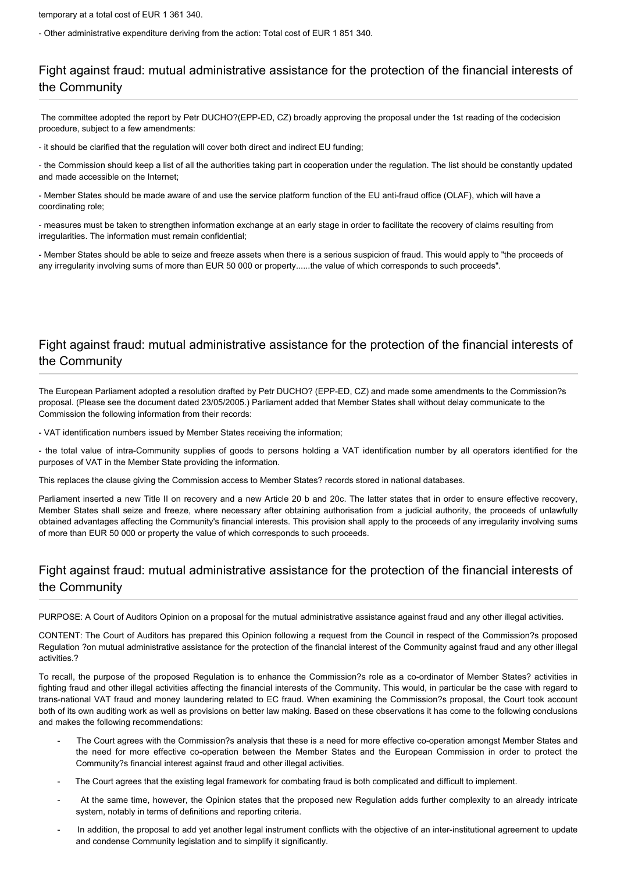temporary at a total cost of EUR 1 361 340.

- Other administrative expenditure deriving from the action: Total cost of EUR 1 851 340.

# Fight against fraud: mutual administrative assistance for the protection of the financial interests of the Community

 The committee adopted the report by Petr DUCHO?(EPP-ED, CZ) broadly approving the proposal under the 1st reading of the codecision procedure, subject to a few amendments:

- it should be clarified that the regulation will cover both direct and indirect EU funding;

- the Commission should keep a list of all the authorities taking part in cooperation under the regulation. The list should be constantly updated and made accessible on the Internet;

- Member States should be made aware of and use the service platform function of the EU anti-fraud office (OLAF), which will have a coordinating role;

- measures must be taken to strengthen information exchange at an early stage in order to facilitate the recovery of claims resulting from irregularities. The information must remain confidential;

- Member States should be able to seize and freeze assets when there is a serious suspicion of fraud. This would apply to "the proceeds of any irregularity involving sums of more than EUR 50 000 or property......the value of which corresponds to such proceeds".

## Fight against fraud: mutual administrative assistance for the protection of the financial interests of the Community

The European Parliament adopted a resolution drafted by Petr DUCHO? (EPP-ED, CZ) and made some amendments to the Commission?s proposal. (Please see the document dated 23/05/2005.) Parliament added that Member States shall without delay communicate to the Commission the following information from their records:

- VAT identification numbers issued by Member States receiving the information;

- the total value of intra-Community supplies of goods to persons holding a VAT identification number by all operators identified for the purposes of VAT in the Member State providing the information.

This replaces the clause giving the Commission access to Member States? records stored in national databases.

Parliament inserted a new Title II on recovery and a new Article 20 b and 20c. The latter states that in order to ensure effective recovery, Member States shall seize and freeze, where necessary after obtaining authorisation from a judicial authority, the proceeds of unlawfully obtained advantages affecting the Community's financial interests. This provision shall apply to the proceeds of any irregularity involving sums of more than EUR 50 000 or property the value of which corresponds to such proceeds.

# Fight against fraud: mutual administrative assistance for the protection of the financial interests of the Community

PURPOSE: A Court of Auditors Opinion on a proposal for the mutual administrative assistance against fraud and any other illegal activities.

CONTENT: The Court of Auditors has prepared this Opinion following a request from the Council in respect of the Commission?s proposed Regulation ?on mutual administrative assistance for the protection of the financial interest of the Community against fraud and any other illegal activities.?

To recall, the purpose of the proposed Regulation is to enhance the Commission?s role as a co-ordinator of Member States? activities in fighting fraud and other illegal activities affecting the financial interests of the Community. This would, in particular be the case with regard to trans-national VAT fraud and money laundering related to EC fraud. When examining the Commission?s proposal, the Court took account both of its own auditing work as well as provisions on better law making. Based on these observations it has come to the following conclusions and makes the following recommendations:

- The Court agrees with the Commission?s analysis that these is a need for more effective co-operation amongst Member States and the need for more effective co-operation between the Member States and the European Commission in order to protect the Community?s financial interest against fraud and other illegal activities.
- The Court agrees that the existing legal framework for combating fraud is both complicated and difficult to implement.
- At the same time, however, the Opinion states that the proposed new Regulation adds further complexity to an already intricate system, notably in terms of definitions and reporting criteria.
- In addition, the proposal to add yet another legal instrument conflicts with the objective of an inter-institutional agreement to update and condense Community legislation and to simplify it significantly.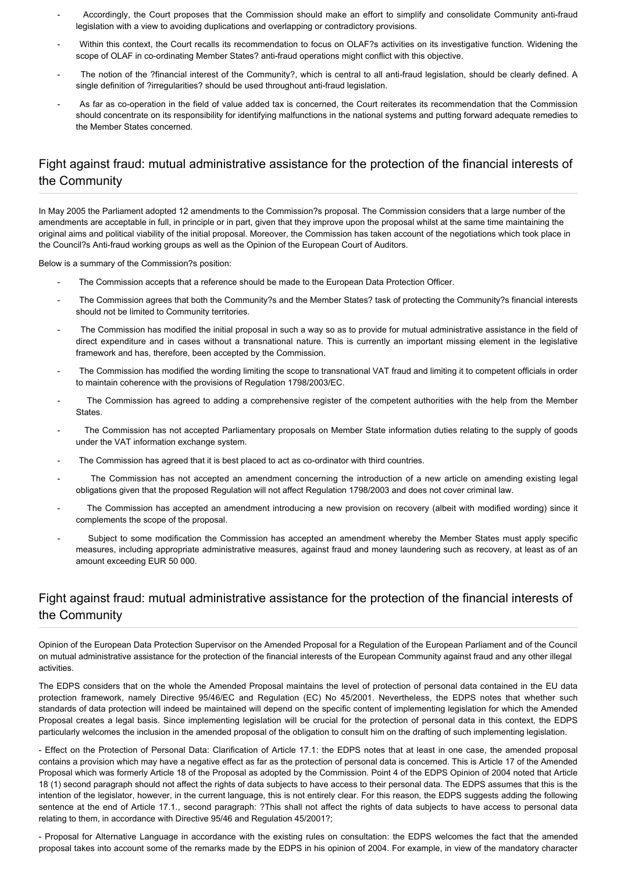- Accordingly, the Court proposes that the Commission should make an effort to simplify and consolidate Community anti-fraud legislation with a view to avoiding duplications and overlapping or contradictory provisions.
- Within this context, the Court recalls its recommendation to focus on OLAF?s activities on its investigative function. Widening the scope of OLAF in co-ordinating Member States? anti-fraud operations might conflict with this objective.
- The notion of the ?financial interest of the Community?, which is central to all anti-fraud legislation, should be clearly defined. A single definition of ?irregularities? should be used throughout anti-fraud legislation.
- As far as co-operation in the field of value added tax is concerned, the Court reiterates its recommendation that the Commission should concentrate on its responsibility for identifying malfunctions in the national systems and putting forward adequate remedies to the Member States concerned.

### Fight against fraud: mutual administrative assistance for the protection of the financial interests of the Community

In May 2005 the Parliament adopted 12 amendments to the Commission?s proposal. The Commission considers that a large number of the amendments are acceptable in full, in principle or in part, given that they improve upon the proposal whilst at the same time maintaining the original aims and political viability of the initial proposal. Moreover, the Commission has taken account of the negotiations which took place in the Council?s Anti-fraud working groups as well as the Opinion of the European Court of Auditors.

Below is a summary of the Commission?s position:

- The Commission accepts that a reference should be made to the European Data Protection Officer.
- The Commission agrees that both the Community?s and the Member States? task of protecting the Community?s financial interests should not be limited to Community territories.
- The Commission has modified the initial proposal in such a way so as to provide for mutual administrative assistance in the field of direct expenditure and in cases without a transnational nature. This is currently an important missing element in the legislative framework and has, therefore, been accepted by the Commission.
- The Commission has modified the wording limiting the scope to transnational VAT fraud and limiting it to competent officials in order to maintain coherence with the provisions of Regulation 1798/2003/EC.
- The Commission has agreed to adding a comprehensive register of the competent authorities with the help from the Member States.
- The Commission has not accepted Parliamentary proposals on Member State information duties relating to the supply of goods under the VAT information exchange system.
- The Commission has agreed that it is best placed to act as co-ordinator with third countries.
- The Commission has not accepted an amendment concerning the introduction of a new article on amending existing legal obligations given that the proposed Regulation will not affect Regulation 1798/2003 and does not cover criminal law.
- The Commission has accepted an amendment introducing a new provision on recovery (albeit with modified wording) since it complements the scope of the proposal.
- Subject to some modification the Commission has accepted an amendment whereby the Member States must apply specific measures, including appropriate administrative measures, against fraud and money laundering such as recovery, at least as of an amount exceeding EUR 50 000.

### Fight against fraud: mutual administrative assistance for the protection of the financial interests of the Community

Opinion of the European Data Protection Supervisor on the Amended Proposal for a Regulation of the European Parliament and of the Council on mutual administrative assistance for the protection of the financial interests of the European Community against fraud and any other illegal activities.

The EDPS considers that on the whole the Amended Proposal maintains the level of protection of personal data contained in the EU data protection framework, namely Directive 95/46/EC and Regulation (EC) No 45/2001. Nevertheless, the EDPS notes that whether such standards of data protection will indeed be maintained will depend on the specific content of implementing legislation for which the Amended Proposal creates a legal basis. Since implementing legislation will be crucial for the protection of personal data in this context, the EDPS particularly welcomes the inclusion in the amended proposal of the obligation to consult him on the drafting of such implementing legislation.

- Effect on the Protection of Personal Data: Clarification of Article 17.1: the EDPS notes that at least in one case, the amended proposal contains a provision which may have a negative effect as far as the protection of personal data is concerned. This is Article 17 of the Amended Proposal which was formerly Article 18 of the Proposal as adopted by the Commission. Point 4 of the EDPS Opinion of 2004 noted that Article 18 (1) second paragraph should not affect the rights of data subjects to have access to their personal data. The EDPS assumes that this is the intention of the legislator, however, in the current language, this is not entirely clear. For this reason, the EDPS suggests adding the following sentence at the end of Article 17.1., second paragraph: ?This shall not affect the rights of data subjects to have access to personal data relating to them, in accordance with Directive 95/46 and Regulation 45/2001?;

- Proposal for Alternative Language in accordance with the existing rules on consultation: the EDPS welcomes the fact that the amended proposal takes into account some of the remarks made by the EDPS in his opinion of 2004. For example, in view of the mandatory character